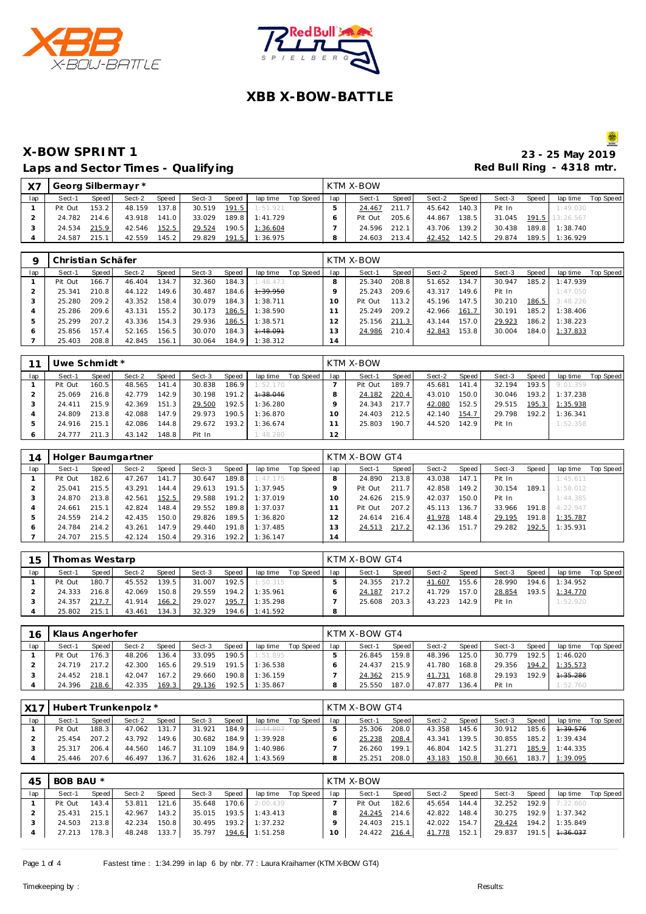



#### **X-BOW SPRINT 1 23 - 25 May 2019** Laps and Sector Times - Qualifying

| X <sub>7</sub> | Georg Silbermayr * |       |        |        |        |       |          |           |     | KTM X-BOW |       |        |       |        |                    |                 |           |
|----------------|--------------------|-------|--------|--------|--------|-------|----------|-----------|-----|-----------|-------|--------|-------|--------|--------------------|-----------------|-----------|
| lap            | Sect-1             | Speed | Sect-2 | Speed  | Sect-3 | Speed | lap time | Top Speed | lap | Sect-1    | Speed | Sect-2 | Speed | Sect-3 | Speed              | lap time        | Top Speed |
|                | Pit Out            | 153.2 | 48.159 | 137.81 | 30.519 | 191.5 | 1:51.921 |           |     | 24.467    | 211.7 | 45.642 | 140.3 | Pit In |                    | 1:49.030        |           |
|                | 24.782             | 214.6 | 43.918 | 141.0  | 33.029 | 189.8 | 1:41.729 |           |     | Pit Out   | 205.6 | 44.867 | 138.5 | 31.045 |                    | 191.5 13:26.567 |           |
|                | 24.534             | 215.9 | 42.546 | 152.5  | 29.524 | 190.5 | 1:36.604 |           |     | 24.596    | 212.1 | 43.706 | 139.2 | 30.438 | 189.8              | 1:38.740        |           |
|                | 24.587             | 215.1 | 42.559 | 145.2  | 29.829 | 191.5 | 1:36.975 |           |     | 24.603    | 213.4 | 42.452 | 142.5 | 29.874 | 189.5 <sub>1</sub> | 1:36.929        |           |

|     | Christian Schäfer |         |        |       |        |       |                     |           |     | KTM X-BOW |       |        |       |        |       |          |           |
|-----|-------------------|---------|--------|-------|--------|-------|---------------------|-----------|-----|-----------|-------|--------|-------|--------|-------|----------|-----------|
| lap | Sect-1            | Speed I | Sect-2 | Speed | Sect-3 | Speed | lap time            | Top Speed | lap | Sect-1    | Speed | Sect-2 | Speed | Sect-3 | Speed | lap time | Top Speed |
|     | Pit Out           | 166.7   | 46.404 | 134.7 | 32.360 | 184.3 | 1:48.473            |           |     | 25.340    | 208.8 | 51.652 | 134.7 | 30.947 | 185.2 | 1:47.939 |           |
|     | 25.341            | 210.8   | 44.122 | 149.6 | 30.487 | 184.6 | <del>1:39.950</del> |           |     | 25.243    | 209.6 | 43.317 | 149.6 | Pit In |       | 1:47.050 |           |
|     | 25.280            | 209.2   | 43.352 | 158.4 | 30.079 | 184.3 | 1:38.711            |           | Ω   | Pit Out   | 113.2 | 45.196 | 147.5 | 30.210 | 186.5 | 3:48.226 |           |
|     | 25.286            | 209.6   | 43.131 | 155.2 | 30.173 | 186.5 | 1:38.590            |           |     | 25.249    | 209.2 | 42.966 | 161.7 | 30.191 | 185.2 | 1:38.406 |           |
|     | 25.299            | 207.2   | 43.336 | 154.3 | 29.936 | 186.5 | 1:38.571            |           |     | 25.156    | 211.3 | 43.144 | 157.0 | 29.923 | 186.2 | 1:38.223 |           |
|     | 25.856            | 157.4   | 52.165 | 156.5 | 30.070 | 184.3 | 1:48.091            |           |     | 24.986    | 210.4 | 42.843 | 153.8 | 30.004 | 184.0 | 1:37.833 |           |
|     | 25.403            | 208.8   | 42.845 | 156.1 | 30.064 | 184.9 | 1:38.312            |           | 14  |           |       |        |       |        |       |          |           |

| 11  | Uwe Schmidt * |       |        |       |        |       |          |           |     | KTM X-BOW |       |        |       |        |       |          |           |
|-----|---------------|-------|--------|-------|--------|-------|----------|-----------|-----|-----------|-------|--------|-------|--------|-------|----------|-----------|
| lap | Sect-1        | Speed | Sect-2 | Speed | Sect-3 | Speed | lap time | Top Speed | lap | Sect-1    | Speed | Sect-2 | Speed | Sect-3 | Speed | lap time | Top Speed |
|     | Pit Out       | 160.5 | 48.565 | 141.4 | 30.838 | 186.9 | 1:52.170 |           |     | Pit Out   | 189.7 | 45.681 | 141.4 | 32.194 | 193.5 | 9:01.359 |           |
|     | 25.069        | 216.8 | 42.779 | 142.9 | 30.198 | 191.2 | 1:38.046 |           |     | 24.182    | 220.4 | 43.010 | 150.0 | 30.046 | 193.2 | 1:37.238 |           |
|     | 24.411        | 215.9 | 42.369 | 151.3 | 29.500 | 192.5 | 1:36.280 |           |     | 24.343    | 217.7 | 42.080 | 152.5 | 29.515 | 195.3 | 1:35.938 |           |
|     | 24.809        | 213.8 | 42.088 | 147.9 | 29.973 | 190.5 | 1:36.870 |           | Ω   | 24.403    | 212.5 | 42.140 | 154.7 | 29.798 | 192.2 | 1:36.341 |           |
|     | 24.916        | 215.1 | 42.086 | 144.8 | 29.672 | 193.2 | 1:36.674 |           |     | 25.803    | 190.7 | 44.520 | 142.9 | Pit In |       | 1:52.358 |           |
|     | 24.777        | 211.3 | 43.142 | 148.8 | Pit In |       | 1:48.280 |           | 12  |           |       |        |       |        |       |          |           |

| 14  |         |       | Holger Baumgartner |       |        |       |          |           |          | KTM X-BOW GT4 |       |        |       |        |       |          |           |
|-----|---------|-------|--------------------|-------|--------|-------|----------|-----------|----------|---------------|-------|--------|-------|--------|-------|----------|-----------|
| lap | Sect-1  | Speed | Sect-2             | Speed | Sect-3 | Speed | lap time | Top Speed | lap      | Sect-1        | Speed | Sect-2 | Speed | Sect-3 | Speed | lap time | Top Speed |
|     | Pit Out | 182.6 | 47.267             | 141.7 | 30.647 | 189.8 | 1:47.175 |           | 8        | 24.890        | 213.8 | 43.038 | 147.1 | Pit In |       | 1:45.611 |           |
|     | 25.041  | 215.5 | 43.291             | 144.4 | 29.613 | 191.5 | 1:37.945 |           |          | Pit Out       | 211.7 | 42.858 | 149.2 | 30.154 | 189.1 | 1:58.012 |           |
|     | 24.870  | 213.8 | 42.561             | 152.5 | 29.588 | 191.2 | 1:37.019 |           | $\Omega$ | 24.626        | 215.9 | 42.037 | 150.0 | Pit In |       | 1:44.385 |           |
|     | 24.661  | 215.1 | 42.824             | 148.4 | 29.552 | 189.8 | 1:37.037 |           |          | Pit Out       | 207.2 | 45.113 | 136.7 | 33.966 | 191.8 | 4:22.947 |           |
|     | 24.559  | 214.2 | 42.435             | 150.0 | 29.826 | 189.5 | 1:36.820 |           |          | 24.614        | 216.4 | 41.978 | 148.4 | 29.195 | 191.8 | 1:35.787 |           |
| O   | 24.784  | 214.2 | 43.261             | 147.9 | 29.440 | 191.8 | 1:37.485 |           |          | 24.513        | 217.2 | 42.136 | 151.7 | 29.282 | 192.5 | 1:35.931 |           |
|     | 24.707  | 215.5 | 42.124             | 150.4 | 29.316 | 192.2 | 1:36.147 |           | 14       |               |       |        |       |        |       |          |           |

| 15  | Thomas Westarp |       |        |       |        |       |                |           |     | KTM X-BOW GT4 |       |        |       |        |       |          |           |
|-----|----------------|-------|--------|-------|--------|-------|----------------|-----------|-----|---------------|-------|--------|-------|--------|-------|----------|-----------|
| lap | Sect-1         | Speed | Sect-2 | Speed | Sect-3 | Speed | lap time       | Top Speed | lap | Sect-1        | Speed | Sect-2 | Speed | Sect-3 | Speed | lap time | Top Speed |
|     | Pit Out        | 180.7 | 45.552 | 139.5 | 31.007 | 192.5 | 1:50.315       |           |     | 24.355        | 217.2 | 41.607 | 155.6 | 28.990 | 194.6 | 1:34.952 |           |
|     | 24.333         | 216.8 | 42.069 | 150.8 | 29.559 | 194.2 | 1:35.961       |           |     | 24.187        | 217.2 | 41.729 | 157.0 | 28.854 | 193.5 | 1:34.770 |           |
|     | 24.357         | 217.7 | 41.914 | 166.2 | 29.027 | 195.7 | 1:35.298       |           |     | 25.608        | 203.3 | 43.223 | 142.9 | Pit In |       | 1:52.920 |           |
|     | 25.802         | 215.1 | 43.461 | 134.3 | 32.329 |       | 194.6 1:41.592 |           | o   |               |       |        |       |        |       |          |           |

| 16  | Klaus Angerhofer |       |        |              |        |                    |          |           |     | KTM X-BOW GT4 |       |        |       |        |       |          |           |
|-----|------------------|-------|--------|--------------|--------|--------------------|----------|-----------|-----|---------------|-------|--------|-------|--------|-------|----------|-----------|
| lap | Sect-1           | Speed | Sect-2 | <b>Speed</b> | Sect-3 | Speed              | lap time | Top Speed | lap | Sect-1        | Speed | Sect-2 | Speed | Sect-3 | Speed | lap time | Top Speed |
|     | Pit Out          | 176.3 | 48.206 | 136.4        | 33.095 | 190.5              | 1:51.895 |           |     | 26.845        | 159.8 | 48.396 | 125.0 | 30.779 | 192.5 | 1:46.020 |           |
|     | 24 719           | 217.2 | 42.300 | 165.6        | 29.519 | 191.5              | 1:36.538 |           |     | 24.437        | 215.9 | 41.780 | 168.8 | 29.356 | 194.2 | 1:35.573 |           |
|     | 24.452           | 218.1 | 42.047 | 167.2        | 29.660 | 190.8              | 1:36.159 |           |     | 24.362        | 215.9 | 41.731 | 168.8 | 29.193 | 192.9 | 4:35.286 |           |
|     | 24.396           | 218.6 | 42.335 | 169.3        | 29.136 | 192.5 <sub>1</sub> | 1:35.867 |           |     | 25.550        | 187.0 | 47.877 | 136.4 | Pit In |       | 1:52.760 |           |

| X17 |         |        | Hubert Trunkenpolz * |       |        |       |          |           |     | KTM X-BOW GT4 |       |        |       |        |       |          |           |
|-----|---------|--------|----------------------|-------|--------|-------|----------|-----------|-----|---------------|-------|--------|-------|--------|-------|----------|-----------|
| lap | Sect-1  | Speed  | Sect-2               | Speed | Sect-3 | Speed | lap time | Top Speed | lap | Sect-1        | Speed | Sect-2 | Speed | Sect-3 | Speed | lap time | Top Speed |
|     | Pit Out | 188.3  | 47.062               | 131.7 | 31.921 | 184.9 | 7:44.807 |           |     | 25.306        | 208.0 | 43.358 | 145.6 | 30.912 | 185.6 | 1:39.576 |           |
|     | 25.454  | 207.2  | 43.792               | 149.6 | 30.682 | 184.9 | 1:39.928 |           |     | 25.238        | 208.4 | 43.341 | 139.5 | 30.855 | 185.2 | 1:39.434 |           |
|     | 25.317  | 206.41 | 44.560               | 146.7 | 31.109 | 184.9 | 1:40.986 |           |     | 26.260        | 199.1 | 46.804 | 142.5 | 31.271 | 185.9 | 1:44.335 |           |
|     | 25.446  | 207.6  | 46.497               | 136.7 | 31.626 | 182.4 | 1:43.569 |           |     | 25.251        | 208.0 | 43.183 | 150.8 | 30.661 | 183.7 | 1:39.095 |           |

| 45  | BOB BAU * |       |        |       |        |       |                       |                    |                 | KTM X-BOW |       |              |       |        |       |                    |                    |
|-----|-----------|-------|--------|-------|--------|-------|-----------------------|--------------------|-----------------|-----------|-------|--------------|-------|--------|-------|--------------------|--------------------|
| lap | Sect-1    | Speed | Sect-2 | Speed | Sect-3 | Speed |                       | lap time Top Speed | lap             | Sect-1    | Speed | Sect-2       | Speed | Sect-3 | Speed |                    | lap time Top Speed |
|     | Pit Out   | 143.4 | 53.811 | 121.6 | 35.648 | 170.6 | 2:00.439              |                    |                 | Pit Out   | 182.6 | 45.654       | 144.4 | 32.252 |       | 192.9 7:22.860     |                    |
|     | 25.431    | 215.1 | 42.967 | 143.2 | 35.015 | 193.5 | 1:43.413              |                    |                 | 24.245    | 214.6 | 42.822 148.4 |       | 30.275 |       | 192.9 1:37.342     |                    |
|     | 24.503    | 213.8 | 42.234 | 150.8 | 30.495 | 193.2 | 1:37.232              |                    |                 | 24.403    | 215.1 | 42.022 154.7 |       | 29.424 |       | 194.2 1:35.849     |                    |
|     | 27.213    | 178.3 | 48.248 | 133.7 |        |       | 35.797 194.6 1:51.258 |                    | 10 <sup>°</sup> | 24.422    | 216.4 | 41.778       | 152.1 | 29.837 |       | $191.5$ $1:36.037$ |                    |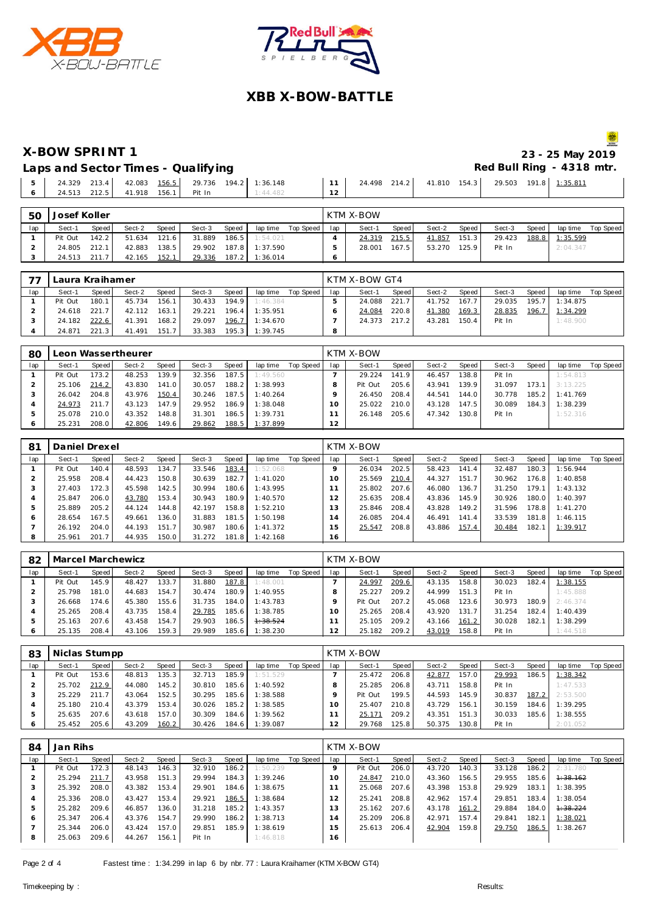





**X-BOW SPRINT 1 23 - 25 May 2019**

Laps and Sector Times - Qualifying **Red Bull Ring - 4318 mtr. Red Bull Ring - 4318 mtr.** 

|  |  |  | 24.329 213.4 42.083 156.5 29.736 194.2 1:36.148 | 11 | 24.498 214.2 | 41.810  154.3  29.503  191.8  1:35.811 |
|--|--|--|-------------------------------------------------|----|--------------|----------------------------------------|
|--|--|--|-------------------------------------------------|----|--------------|----------------------------------------|

| 50  | Josef Koller |         |        |       |        |       |          |           |     | <b>KTM X-BOW</b> |         |        |        |        |       |          |           |
|-----|--------------|---------|--------|-------|--------|-------|----------|-----------|-----|------------------|---------|--------|--------|--------|-------|----------|-----------|
| lap | Sect-1       | Speed i | Sect-2 | Speed | Sect-3 | Speed | lap time | Top Speed | lap | Sect-1           | Speed I | Sect-2 | Speed  | Sect-3 | Speed | lap time | Top Speed |
|     | Pit Out      | 142.2   | 51.634 | 121.6 | 31.889 | 186.5 | 1:54.021 |           |     | 24.319           | 215.5   | 41.857 | 151.3  | 29.423 | 188.8 | 1:35.599 |           |
|     | 24.805       | 212.1   | 42.883 | 138.5 | 29.902 | 187.8 | 1:37.590 |           |     | 28.001           | 167.5   | 53.270 | 125.91 | Pit In |       | 2:04.347 |           |
|     | 24.513       | 211.7   | 42.165 | 152.7 | 29.336 | 187.2 | 1:36.014 |           |     |                  |         |        |        |        |       |          |           |

|     | Laura Kraihamer |              |        |       |        |       |          |           |     | KTM X-BOW GT4 |       |        |       |        |       |          |           |
|-----|-----------------|--------------|--------|-------|--------|-------|----------|-----------|-----|---------------|-------|--------|-------|--------|-------|----------|-----------|
| lap | Sect-1          | <b>Speed</b> | Sect-2 | Speed | Sect-3 | Speed | lap time | Top Speed | lap | Sect-1        | Speed | Sect-2 | Speed | Sect-3 | Speed | lap time | Top Speed |
|     | Pit Out         | 180.1        | 45.734 | 156.1 | 30.433 | 194.9 | 1:46.384 |           |     | 24.088        | 221.7 | 41.752 | 167.7 | 29.035 | 195.7 | 1:34.875 |           |
|     | 24.618          | 221.7        | 42.112 | 163.1 | 29.221 | 196.4 | 1:35.951 |           |     | 24.084        | 220.8 | 41.380 | 169.3 | 28.835 | 196.7 | 1:34.299 |           |
|     | 24.182          | 222.6        | 41.391 | 168.2 | 29.097 | 196.7 | 1:34.670 |           |     | 24.373        | 217.2 | 43.281 | 150.4 | Pit In |       | 1:48.900 |           |
|     | 24.871          | 221.3        | 41.491 | 151.7 | 33.383 | 195.3 | 1:39.745 |           | 8   |               |       |        |       |        |       |          |           |

| 80  |         |         | Leon Wassertheurer |        |        |       |          |           |     | <b>KTM X-BOW</b> |       |        |        |        |       |          |           |
|-----|---------|---------|--------------------|--------|--------|-------|----------|-----------|-----|------------------|-------|--------|--------|--------|-------|----------|-----------|
| lap | Sect-1  | Speed ! | Sect-2             | Speed  | Sect-3 | Speed | lap time | Top Speed | lap | Sect-1           | Speed | Sect-2 | Speed  | Sect-3 | Speed | lap time | Top Speed |
|     | Pit Out | 173.2   | 48.253             | 139.9  | 32.356 | 187.5 | 1:49.560 |           |     | 29.224           | 141.9 | 46.457 | 138.81 | Pit In |       | 1:54.813 |           |
|     | 25.106  | 214.2   | 43.830             | 141.01 | 30.057 | 188.2 | 1:38.993 |           |     | Pit Out          | 205.6 | 43.941 | 139.9  | 31.097 | 173.1 | 3:13.225 |           |
|     | 26.042  | 204.8   | 43.976             | 150.4  | 30.246 | 187.5 | 1:40.264 |           |     | 26.450           | 208.4 | 44.541 | 144.0  | 30.778 | 185.2 | 1:41.769 |           |
|     | 24.973  | 211.7   | 43.123             | 147.9  | 29.952 | 186.9 | 1:38.048 |           |     | 25.022           | 210.0 | 43.128 | 147.5  | 30.089 | 184.3 | 1:38.239 |           |
|     | 25.078  | 210.0   | 43.352             | 148.8  | 31.301 | 186.5 | 1:39.731 |           |     | 26.148           | 205.6 | 47.342 | 130.8  | Pit In |       | 1:52.316 |           |
|     | 25.231  | 208.0   | 42.806             | 149.6  | 29.862 | 188.5 | 1:37.899 |           | 12  |                  |       |        |        |        |       |          |           |

| 81  | Daniel Drexel |       |        |       |        |       |          |           |               | KTM X-BOW |       |        |                    |        |       |          |           |
|-----|---------------|-------|--------|-------|--------|-------|----------|-----------|---------------|-----------|-------|--------|--------------------|--------|-------|----------|-----------|
| lap | Sect-1        | Speed | Sect-2 | Speed | Sect-3 | Speed | lap time | Top Speed | lap           | Sect-1    | Speed | Sect-2 | Speed              | Sect-3 | Speed | lap time | Top Speed |
|     | Pit Out       | 140.4 | 48.593 | 134.7 | 33.546 | 183.4 | 1:52.068 |           |               | 26.034    | 202.5 | 58.423 | 141.4              | 32.487 | 180.3 | 1:56.944 |           |
|     | 25.958        | 208.4 | 44.423 | 150.8 | 30.639 | 182.7 | 1:41.020 |           | 10            | 25.569    | 210.4 | 44.327 | 151.7 <sub>1</sub> | 30.962 | 176.8 | 1:40.858 |           |
|     | 27.403        | 172.3 | 45.598 | 142.5 | 30.994 | 180.6 | 1:43.995 |           |               | 25.802    | 207.6 | 46.080 | 136.7              | 31.250 | 179.1 | 1:43.132 |           |
| 4   | 25.847        | 206.0 | 43.780 | 153.4 | 30.943 | 180.9 | 1:40.570 |           | $\mathcal{P}$ | 25.635    | 208.4 | 43.836 | 145.9              | 30.926 | 180.0 | 1:40.397 |           |
| ь   | 25.889        | 205.2 | 44.124 | 144.8 | 42.197 | 158.8 | 1:52.210 |           | 3             | 25.846    | 208.4 | 43.828 | 149.2              | 31.596 | 178.8 | 1:41.270 |           |
| O   | 28.654        | 167.5 | 49.661 | 136.0 | 31.883 | 181.5 | 1:50.198 |           | 4             | 26.085    | 204.4 | 46.491 | 141.4              | 33.539 | 181.8 | 1:46.115 |           |
|     | 26.192        | 204.0 | 44.193 | 151.7 | 30.987 | 180.6 | 1:41.372 |           | 5             | 25.547    | 208.8 | 43.886 | 157.4              | 30.484 | 182.1 | 1:39.917 |           |
| 8   | 25.961        | 201.7 | 44.935 | 150.0 | 31.272 | 181.8 | 1:42.168 |           | 16            |           |       |        |                    |        |       |          |           |

| 82  | Marcel Marchewicz |       |        |       |        |       |          |           |     | KTM X-BOW |       |        |       |        |       |          |           |
|-----|-------------------|-------|--------|-------|--------|-------|----------|-----------|-----|-----------|-------|--------|-------|--------|-------|----------|-----------|
| lap | Sect-1            | Speed | Sect-2 | Speed | Sect-3 | Speed | lap time | Top Speed | lap | Sect-1    | Speed | Sect-2 | Speed | Sect-3 | Speed | lap time | Top Speed |
|     | Pit Out           | 145.9 | 48.427 | 133.7 | 31.880 | 187.8 | 1:48.001 |           |     | 24.997    | 209.6 | 43.135 | 158.8 | 30.023 | 182.4 | 1:38.155 |           |
|     | 25.798            | 181.0 | 44.683 | 154.7 | 30.474 | 180.9 | 1:40.955 |           |     | 25.227    | 209.2 | 44.999 | 151.3 | Pit In |       | 1:45.888 |           |
|     | 26.668            | 174.6 | 45.380 | 155.6 | 31.735 | 184.0 | 1:43.783 |           |     | Pit Out   | 207.2 | 45.068 | 123.6 | 30.973 | 180.9 | 2:46.374 |           |
|     | 25.265            | 208.4 | 43.735 | 158.4 | 29.785 | 185.6 | 1:38.785 |           | 1 O | 25.265    | 208.4 | 43.920 | 131.7 | 31.254 | 182.4 | 1:40.439 |           |
|     | 25.163            | 207.6 | 43.458 | 154.7 | 29.903 | 186.5 | 1:38.524 |           |     | 25.105    | 209.2 | 43.166 | 161.2 | 30.028 | 182.1 | 1:38.299 |           |
|     | 25.135            | 208.4 | 43.106 | 159.3 | 29.989 | 185.6 | 1:38.230 |           |     | 25.182    | 209.2 | 43.019 | 158.8 | Pit In |       | 1:44.518 |           |

| 83  | Niclas Stumpp |       |        |       |        |        |          |           |     | <b>KTM X-BOW</b> |       |        |       |        |       |          |           |
|-----|---------------|-------|--------|-------|--------|--------|----------|-----------|-----|------------------|-------|--------|-------|--------|-------|----------|-----------|
| lap | Sect-1        | Speed | Sect-2 | Speed | Sect-3 | Speed  | lap time | Top Speed | lap | Sect-1           | Speed | Sect-2 | Speed | Sect-3 | Speed | lap time | Top Speed |
|     | Pit Out       | 153.6 | 48.813 | 135.3 | 32.713 | 185.91 | 1:51.529 |           |     | 25.472           | 206.8 | 42.877 | 157.0 | 29.993 | 186.5 | 1:38.342 |           |
|     | 25.702        | 212.9 | 44.080 | 145.2 | 30.810 | 185.6  | 1:40.592 |           |     | 25.285           | 206.8 | 43.711 | 158.8 | Pit In |       | 1:47.533 |           |
|     | 25.229        | 211.7 | 43.064 | 152.5 | 30.295 | 185.6  | 1:38.588 |           |     | Pit Out          | 199.5 | 44.593 | 145.9 | 30.837 | 187.2 | 2:53.500 |           |
|     | 25.180        | 210.4 | 43.379 | 153.4 | 30.026 | 185.2  | 1:38.585 |           |     | 25.407           | 210.8 | 43.729 | 156.1 | 30.159 | 184.6 | 1:39.295 |           |
|     | 25.635        | 207.6 | 43.618 | 157.0 | 30.309 | 184.6  | 1:39.562 |           |     | 25.171           | 209.2 | 43.351 | 151.3 | 30.033 | 185.6 | 1:38.555 |           |
| 6   | 25.452        | 205.6 | 43.209 | 160.2 | 30.426 | 184.6  | 1:39.087 |           |     | 29.768           | 125.8 | 50.375 | 130.8 | Pit In |       | 2:01.052 |           |

| 84           | Jan Rihs |       |        |       |        |       |          |           |               | KTM X-BOW |       |        |       |        |       |          |           |
|--------------|----------|-------|--------|-------|--------|-------|----------|-----------|---------------|-----------|-------|--------|-------|--------|-------|----------|-----------|
| lap          | Sect-1   | Speed | Sect-2 | Speed | Sect-3 | Speed | lap time | Top Speed | lap           | Sect-1    | Speed | Sect-2 | Speed | Sect-3 | Speed | lap time | Top Speed |
|              | Pit Out  | 172.3 | 48.143 | 146.3 | 32.910 | 186.2 | 1:50.239 |           | $\circ$       | Pit Out   | 206.0 | 43.720 | 140.3 | 33.128 | 186.2 | 2:31.780 |           |
| ∠            | 25.294   | 211.7 | 43.958 | 151.3 | 29.994 | 184.3 | 1:39.246 |           | 1 O           | 24.847    | 210.0 | 43.360 | 156.5 | 29.955 | 185.6 | 1:38.162 |           |
|              | 25.392   | 208.0 | 43.382 | 153.4 | 29.901 | 184.6 | 1:38.675 |           |               | 25.068    | 207.6 | 43.398 | 153.8 | 29.929 | 183.1 | 1:38.395 |           |
| 4            | 25.336   | 208.0 | 43.427 | 153.4 | 29.921 | 186.5 | 1:38.684 |           | $\mathcal{P}$ | 25.241    | 208.8 | 42.962 | 157.4 | 29.851 | 183.4 | : 38.054 |           |
| 5            | 25.282   | 209.6 | 46.857 | 136.0 | 31.218 | 185.2 | 1:43.357 |           |               | 25.162    | 207.6 | 43.178 | 161.2 | 29.884 | 184.0 | 1:38.224 |           |
| <sup>6</sup> | 25.347   | 206.4 | 43.376 | 154.7 | 29.990 | 186.2 | 1:38.713 |           | 4             | 25.209    | 206.8 | 42.971 | 157.4 | 29.841 | 182.1 | 1:38.021 |           |
|              | 25.344   | 206.0 | 43.424 | 157.0 | 29.851 | 185.9 | 1:38.619 |           | $15 -$        | 25.613    | 206.4 | 42.904 | 159.8 | 29.750 | 186.5 | 1:38.267 |           |
| 8            | 25.063   | 209.6 | 44.267 | 156.1 | Pit In |       | 1:46.818 |           | 16            |           |       |        |       |        |       |          |           |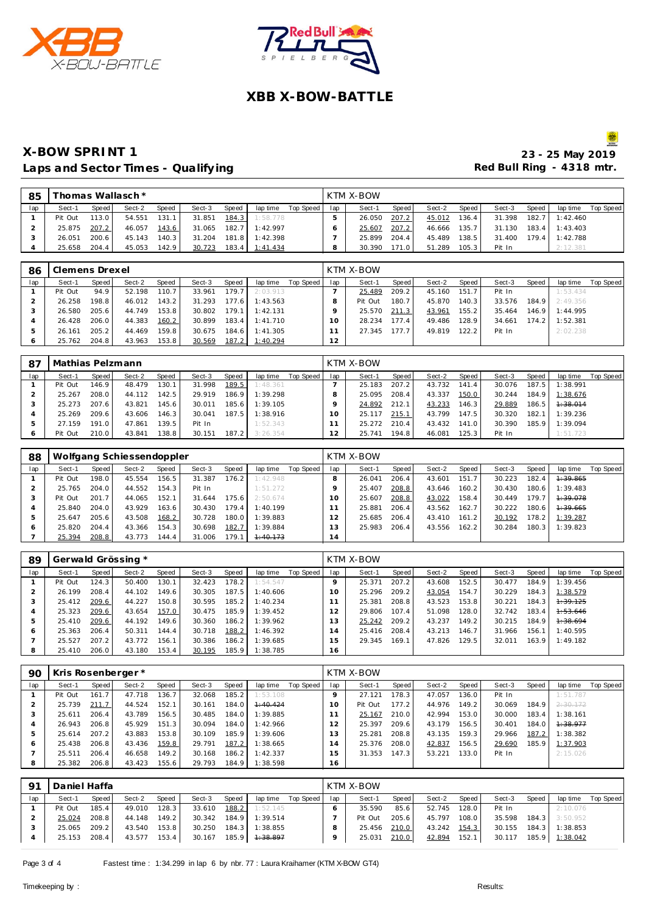



#### **X-BOW SPRINT 1** Laps and Sector Times - Qualifying **Container and Section Times - Cualifying Red Bull Ring Red Bull Ring**

|                             |  | 23 - 25 May 2019 |  |
|-----------------------------|--|------------------|--|
| Red Bull Rina - 4318 mtr. . |  |                  |  |

| 85  |         |       | Thomas Wallasch * |       |        |       |                |           |     | KTM X-BOW |       |        |       |        |       |          |           |
|-----|---------|-------|-------------------|-------|--------|-------|----------------|-----------|-----|-----------|-------|--------|-------|--------|-------|----------|-----------|
| lap | Sect-1  | Speed | Sect-2            | Speed | Sect-3 | Speed | lap time       | Top Speed | lap | Sect-1    | Speed | Sect-2 | Speed | Sect-3 | Speed | lap time | Top Speed |
|     | Pit Out | 113.0 | 54.551            | 131.1 | 31.851 | 184.3 | 1:58.778       |           |     | 26.050    | 207.2 | 45.012 | 136.4 | 31.398 | 182.7 | 1:42.460 |           |
|     | 25.875  | 207.2 | 46.057            | 143.6 | 31.065 |       | 182.7 1:42.997 |           |     | 25.607    | 207.2 | 46.666 | 135.7 | 31.130 | 183.4 | 1:43.403 |           |
|     | 26.051  | 200.6 | 45.143            | 140.3 | 31.204 |       | 181.8 1:42.398 |           |     | 25.899    | 204.4 | 45.489 | 138.5 | 31.400 | 179.4 | 1:42.788 |           |
|     | 25.658  | 204.4 | 45.053            | 142.9 | 30.723 |       | 183.4 1:41.434 |           |     | 30.390    | 171.0 | 51.289 | 105.3 | Pit In |       | 2:12.381 |           |

| 86  | Clemens Drexel |       |        |       |        |                    |          |           |           | KTM X-BOW |           |        |       |        |       |          |           |
|-----|----------------|-------|--------|-------|--------|--------------------|----------|-----------|-----------|-----------|-----------|--------|-------|--------|-------|----------|-----------|
| lap | Sect-1         | Speed | Sect-2 | Speed | Sect-3 | Speed              | lap time | Top Speed | lap       | Sect-1    | Speed     | Sect-2 | Speed | Sect-3 | Speed | lap time | Top Speed |
|     | Pit Out        | 94.9  | 52.198 | 110.7 | 33.961 | 179.7 <sub>1</sub> | 2:03.913 |           |           | 25.489    | 209.2     | 45.160 | 151.7 | Pit In |       | 1:53.434 |           |
|     | 26.258         | 198.8 | 46.012 | 143.2 | 31.293 | 177.6              | 1:43.563 |           |           | Pit Out   | 180.7     | 45.870 | 140.3 | 33.576 | 184.9 | 2:49.356 |           |
|     | 26.580         | 205.6 | 44.749 | 153.8 | 30.802 | 179.1              | 1:42.131 |           |           | 25.570    | 211.3     | 43.961 | 155.2 | 35.464 | 146.9 | 1:44.995 |           |
|     | 26.428         | 206.0 | 44.383 | 160.2 | 30.899 | 183.4              | 1:41.710 |           | $10^{-1}$ | 28.234    | $177.4$ i | 49.486 | 128.9 | 34.661 | 174.2 | 1:52.381 |           |
|     | 26.161         | 205.2 | 44.469 | 159.8 | 30.675 | 184.6              | 1:41.305 |           |           | 27.345    | 177.7     | 49.819 | 122.2 | Pit In |       | 2:02.238 |           |
|     | 25.762         | 204.8 | 43.963 | 153.8 | 30.569 | 187.2              | 1:40.294 |           | 12        |           |           |        |       |        |       |          |           |

| 87  | Mathias Pelzmann |       |        |       |        |       |          |           |     | KTM X-BOW |                    |        |                       |        |       |          |           |
|-----|------------------|-------|--------|-------|--------|-------|----------|-----------|-----|-----------|--------------------|--------|-----------------------|--------|-------|----------|-----------|
| lap | Sect-1           | Speed | Sect-2 | Speed | Sect-3 | Speed | lap time | Top Speed | lap | Sect-1    | Speed              | Sect-2 | Speed                 | Sect-3 | Speed | lap time | Top Speed |
|     | Pit Out          | 146.9 | 48.479 | 130.1 | 31.998 | 189.5 | 1:48.361 |           |     | 25.183    | 207.2              | 43.732 | 141<br>$\overline{A}$ | 30.076 | 187.5 | 1:38.991 |           |
|     | 25.267           | 208.0 | 44.112 | 142.5 | 29.919 | 186.9 | 1:39.298 |           |     | 25.095    | 208.4              | 43.337 | 150.0                 | 30.244 | 184.9 | 1:38.676 |           |
|     | 25.273           | 207.6 | 43.821 | 145.6 | 30.011 | 185.6 | 1:39.105 |           |     | 24.892    | 212.1              | 43.233 | 146.3                 | 29.889 | 186.5 | 1:38.014 |           |
|     | 25.269           | 209.6 | 43.606 | 146.3 | 30.041 | 187.5 | 1:38.916 |           | Ω   | 25.117    | 215.1              | 43.799 | 147.5                 | 30.320 | 182.1 | 1:39.236 |           |
|     | 27.159           | 191.0 | 47.861 | 139.5 | Pit In |       | 1:52.343 |           |     | 25.272    | 210.4              | 43.432 | 141.01                | 30.390 | 185.9 | 1:39.094 |           |
|     | Pit Out          | 210.0 | 43.841 | 138.8 | 30.151 | 187.2 | 3:26.354 |           |     | 25.741    | 194.8 <sub>1</sub> | 46.081 | 125.3                 | Pit In |       | 1:51.723 |           |

| 88  |         |              | Wolfgang Schiessendoppler |       |        |       |          |           |     | KTM X-BOW |       |        |        |        |       |          |           |
|-----|---------|--------------|---------------------------|-------|--------|-------|----------|-----------|-----|-----------|-------|--------|--------|--------|-------|----------|-----------|
| lap | Sect-1  | <b>Speed</b> | Sect-2                    | Speed | Sect-3 | Speed | lap time | Top Speed | lap | Sect-1    | Speed | Sect-2 | Speed  | Sect-3 | Speed | lap time | Top Speed |
|     | Pit Out | 198.0        | 45.554                    | 156.5 | 31.387 | 176.2 | 1:42.948 |           |     | 26.041    | 206.4 | 43.601 | 151    | 30.223 | 182.4 | 1:39.865 |           |
|     | 25.765  | 204.0        | 44.552                    | 154.3 | Pit In |       | 1:51.272 |           |     | 25.407    | 208.8 | 43.646 | 160.21 | 30.430 | 180.6 | 1:39.483 |           |
|     | Pit Out | 201.7        | 44.065                    | 152.1 | 31.644 | 175.6 | 2:50.674 |           | Ω   | 25.607    | 208.8 | 43.022 | 158.4  | 30.449 | 179.7 | 1:39.078 |           |
|     | 25.840  | 204.0        | 43.929                    | 163.6 | 30.430 | 179.4 | 1:40.199 |           |     | 25.881    | 206.4 | 43.562 | 162.7  | 30.222 | 180.6 | 1:39.665 |           |
| ь   | 25.647  | 205.6        | 43.508                    | 168.2 | 30.728 | 180.0 | 1:39.883 |           |     | 25.685    | 206.4 | 43.410 | 161.21 | 30.192 | 178.2 | 1:39.287 |           |
| O   | 25.820  | 204.4        | 43.366                    | 154.3 | 30.698 | 182.7 | 1:39.884 |           |     | 25.983    | 206.4 | 43.556 | 162.2  | 30.284 | 180.3 | 1:39.823 |           |
|     | 25.394  | 208.8        | 43.773                    | 144.4 | 31.006 | 179.1 | 1:40.173 |           | 14  |           |       |        |        |        |       |          |           |

| 89  |         |       | Gerwald Grössing * |       |        |       |          |           |     | KTM X-BOW |         |        |       |        |       |          |           |
|-----|---------|-------|--------------------|-------|--------|-------|----------|-----------|-----|-----------|---------|--------|-------|--------|-------|----------|-----------|
| lap | Sect-1  | Speed | Sect-2             | Speed | Sect-3 | Speed | lap time | Top Speed | lap | Sect-1    | Speed I | Sect-2 | Speed | Sect-3 | Speed | lap time | Top Speed |
|     | Pit Out | 124.3 | 50.400             | 130.1 | 32.423 | 178.2 | 1:54.547 |           |     | 25.371    | 207.2   | 43.608 | 152.5 | 30.477 | 184.9 | 1:39.456 |           |
|     | 26.199  | 208.4 | 44.102             | 149.6 | 30.305 | 187.5 | 1:40.606 |           |     | 25.296    | 209.2   | 43.054 | 154.7 | 30.229 | 184.3 | 1:38.579 |           |
|     | 25.412  | 209.6 | 44.227             | 150.8 | 30.595 | 185.2 | 1:40.234 |           |     | 25.381    | 208.8   | 43.523 | 153.8 | 30.221 | 184.3 | 1:39.125 |           |
|     | 25.323  | 209.6 | 43.654             | 157.0 | 30.475 | 185.9 | 1:39.452 |           |     | 29.806    | 107.4   | 51.098 | 128.0 | 32.742 | 183.4 | 1:53.646 |           |
| b   | 25.410  | 209.6 | 44.192             | 149.6 | 30.360 | 186.2 | 1:39.962 |           | 3   | 25.242    | 209.2   | 43.237 | 149.2 | 30.215 | 184.9 | 1:38.694 |           |
| O   | 25.363  | 206.4 | 50.311             | 144.4 | 30.718 | 188.2 | 1:46.392 |           | 4   | 25.416    | 208.4   | 43.213 | 146.7 | 31.966 | 156.1 | 1:40.595 |           |
|     | 25.527  | 207.2 | 43.772             | 156.1 | 30.386 | 186.2 | 1:39.685 |           | 5   | 29.345    | 169.1   | 47.826 | 129.5 | 32.011 | 163.9 | 1:49.182 |           |
| 8   | 25.410  | 206.0 | 43.180             | 153.4 | 30.195 | 185.9 | 1:38.785 |           | 16  |           |         |        |       |        |       |          |           |

| 90  | Kris Rosenberger * |       |        |       |        |       |                |           |     | KTM X-BOW |       |        |       |        |       |          |           |
|-----|--------------------|-------|--------|-------|--------|-------|----------------|-----------|-----|-----------|-------|--------|-------|--------|-------|----------|-----------|
| lap | Sect-1             | Speed | Sect-2 | Speed | Sect-3 | Speed | lap time       | Top Speed | lap | Sect-1    | Speed | Sect-2 | Speed | Sect-3 | Speed | lap time | Top Speed |
|     | Pit Out            | 161.7 | 47.718 | 136.7 | 32.068 | 185.2 | 1:53.108       |           |     | 27.121    | 178.3 | 47.057 | 136.0 | Pit In |       | 1:51.787 |           |
|     | 25.739             | 211.7 | 44.524 | 152.1 | 30.161 | 184.0 | 1:40.424       |           | 10  | Pit Out   | 177.2 | 44.976 | 149.2 | 30.069 | 184.9 | 2:30.172 |           |
|     | 25.611             | 206.4 | 43.789 | 156.5 | 30.485 | 184.0 | 1:39.885       |           |     | 25.167    | 210.0 | 42.994 | 153.0 | 30.000 | 183.4 | 1:38.161 |           |
|     | 26.943             | 206.8 | 45.929 | 151.3 | 30.094 | 184.0 | 1:42.966       |           | 2   | 25.397    | 209.6 | 43.179 | 156.5 | 30.401 | 184.0 | 1:38.977 |           |
|     | 25.614             | 207.2 | 43.883 | 153.8 | 30.109 | 185.9 | 1:39.606       |           | 3   | 25.281    | 208.8 | 43.135 | 159.3 | 29.966 | 187.2 | 1:38.382 |           |
| 6   | 25.438             | 206.8 | 43.436 | 159.8 | 29.791 | 187.2 | 1:38.665       |           | 4   | 25.376    | 208.0 | 42.837 | 156.5 | 29.690 | 185.9 | 1:37.903 |           |
|     | 25.511             | 206.4 | 46.658 | 149.2 | 30.168 | 186.2 | 1:42.337       |           | 5   | 31.353    | 147.3 | 53.221 | 133.0 | Pit In |       | 2:15.026 |           |
| 8   | 25.382             | 206.8 | 43.423 | 155.6 | 29.793 |       | 184.9 1:38.598 |           | 16  |           |       |        |       |        |       |          |           |

| -91 | Daniel Haffa |       |        |       |        |       |                     |           |     | KTM X-BOW |       |              |       |        |       |          |           |
|-----|--------------|-------|--------|-------|--------|-------|---------------------|-----------|-----|-----------|-------|--------------|-------|--------|-------|----------|-----------|
| lap | Sect-1       | Speed | Sect-2 | Speed | Sect-3 | Speed | lap time            | Top Speed | lap | Sect-1    | Speed | Sect-2       | Speed | Sect-3 | Speed | lap time | Top Speed |
|     | Pit Out      | 185.4 | 49.010 | 128.3 | 33.610 | 188.2 | 1:52.145            |           |     | 35.590    | 85.6  | 52.745       | 128.0 | Pit In |       | 2:10.076 |           |
|     | 25.024       | 208.8 | 44.148 | 149.2 | 30.342 | 184.9 | 1:39.514            |           |     | Pit Out   | 205.6 | 45.797       | 108.0 | 35.598 | 184.3 | 3:50.952 |           |
|     | 25.065       | 209.2 | 43.540 | 153.8 | 30.250 | 184.3 | 1:38.855            |           |     | 25.456    | 210.0 | 43.242 154.3 |       | 30.155 | 184.3 | 1:38.853 |           |
|     | 25.153       | 208.4 | 43.577 | 153.4 | 30.167 | 185.9 | <del>1:38.897</del> |           |     | 25.031    | 210.0 | 42.894       | 152.1 | 30.117 | 185.9 | 1:38.042 |           |